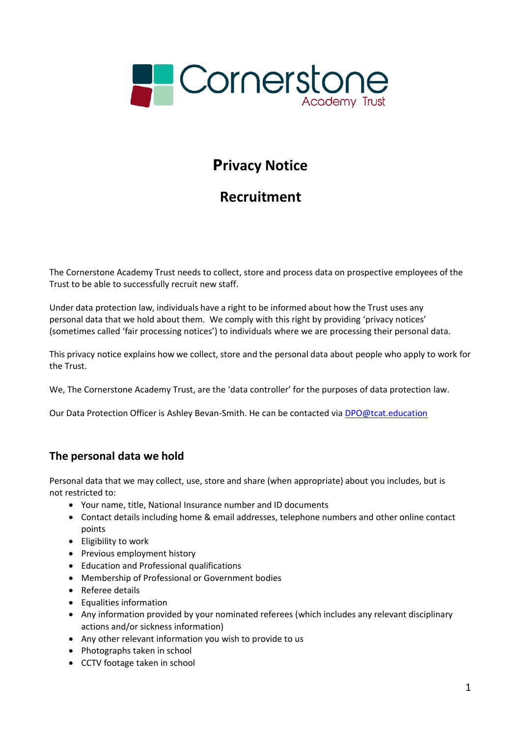

# **Privacy Notice**

# **Recruitment**

The Cornerstone Academy Trust needs to collect, store and process data on prospective employees of the Trust to be able to successfully recruit new staff.

Under data protection law, individuals have a right to be informed about how the Trust uses any personal data that we hold about them. We comply with this right by providing 'privacy notices' (sometimes called 'fair processing notices') to individuals where we are processing their personal data.

This privacy notice explains how we collect, store and the personal data about people who apply to work for the Trust.

We, The Cornerstone Academy Trust, are the 'data controller' for the purposes of data protection law.

Our Data Protection Officer is Ashley Bevan-Smith. He can be contacted via [DPO@tcat.education](mailto:DPO@tcat.education)

# **The personal data we hold**

Personal data that we may collect, use, store and share (when appropriate) about you includes, but is not restricted to:

- Your name, title, National Insurance number and ID documents
- Contact details including home & email addresses, telephone numbers and other online contact points
- Eligibility to work
- Previous employment history
- Education and Professional qualifications
- Membership of Professional or Government bodies
- Referee details
- Equalities information
- Any information provided by your nominated referees (which includes any relevant disciplinary actions and/or sickness information)
- Any other relevant information you wish to provide to us
- Photographs taken in school
- CCTV footage taken in school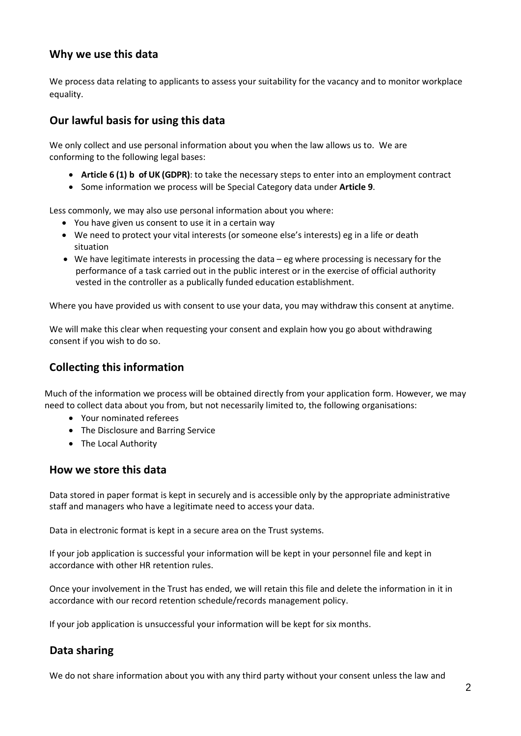#### **Why we use this data**

We process data relating to applicants to assess your suitability for the vacancy and to monitor workplace equality.

### **Our lawful basis for using this data**

We only collect and use personal information about you when the law allows us to. We are conforming to the following legal bases:

- **Article 6 (1) b of UK (GDPR)**: to take the necessary steps to enter into an employment contract
- Some information we process will be Special Category data under **Article 9**.

Less commonly, we may also use personal information about you where:

- You have given us consent to use it in a certain way
- We need to protect your vital interests (or someone else's interests) eg in a life or death situation
- We have legitimate interests in processing the data eg where processing is necessary for the performance of a task carried out in the public interest or in the exercise of official authority vested in the controller as a publically funded education establishment.

Where you have provided us with consent to use your data, you may withdraw this consent at anytime.

We will make this clear when requesting your consent and explain how you go about withdrawing consent if you wish to do so.

## **Collecting this information**

Much of the information we process will be obtained directly from your application form. However, we may need to collect data about you from, but not necessarily limited to, the following organisations:

- Your nominated referees
- The Disclosure and Barring Service
- The Local Authority

#### **How we store this data**

Data stored in paper format is kept in securely and is accessible only by the appropriate administrative staff and managers who have a legitimate need to access your data.

Data in electronic format is kept in a secure area on the Trust systems.

If your job application is successful your information will be kept in your personnel file and kept in accordance with other HR retention rules.

Once your involvement in the Trust has ended, we will retain this file and delete the information in it in accordance with our record retention schedule/records management policy.

If your job application is unsuccessful your information will be kept for six months.

### **Data sharing**

We do not share information about you with any third party without your consent unless the law and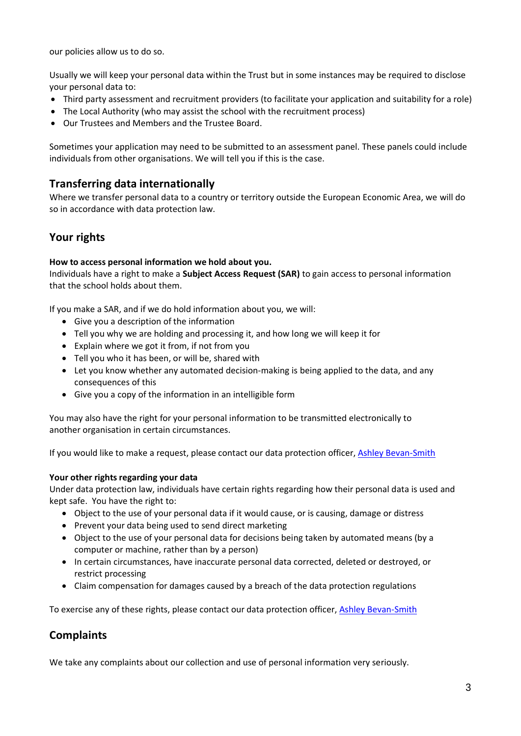our policies allow us to do so.

Usually we will keep your personal data within the Trust but in some instances may be required to disclose your personal data to:

- Third party assessment and recruitment providers (to facilitate your application and suitability for a role)
- The Local Authority (who may assist the school with the recruitment process)
- Our Trustees and Members and the Trustee Board.

Sometimes your application may need to be submitted to an assessment panel. These panels could include individuals from other organisations. We will tell you if this is the case.

#### **Transferring data internationally**

Where we transfer personal data to a country or territory outside the European Economic Area, we will do so in accordance with data protection law.

## **Your rights**

#### **How to access personal information we hold about you.**

Individuals have a right to make a **Subject Access Request (SAR)** to gain access to personal information that the school holds about them.

If you make a SAR, and if we do hold information about you, we will:

- Give you a description of the information
- Tell you why we are holding and processing it, and how long we will keep it for
- Explain where we got it from, if not from you
- Tell you who it has been, or will be, shared with
- Let you know whether any automated decision-making is being applied to the data, and any consequences of this
- Give you a copy of the information in an intelligible form

You may also have the right for your personal information to be transmitted electronically to another organisation in certain circumstances.

If you would like to make a request, please contact our data protection officer, [Ashley Bevan-Smith](mailto:DPO@tcat.education)

#### **Your** other rights regarding your data

Under data protection law, individuals have certain rights regarding how their personal data is used and kept safe. You have the right to:

- Object to the use of your personal data if it would cause, or is causing, damage or distress
- Prevent your data being used to send direct marketing
- Object to the use of your personal data for decisions being taken by automated means (by a computer or machine, rather than by a person)
- In certain circumstances, have inaccurate personal data corrected, deleted or destroyed, or restrict processing
- Claim compensation for damages caused by a breach of the data protection regulations

To exercise any of these rights, please contact our data protection officer, [Ashley Bevan-Smith](mailto:DPO@tcat.education)

### **Complaints**

We take any complaints about our collection and use of personal information very seriously.